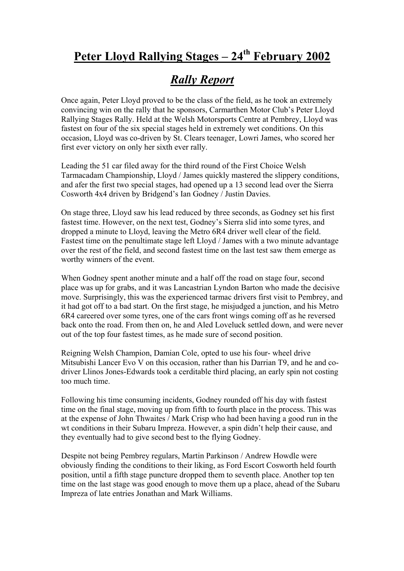## Peter Lloyd Rallying Stages – 24<sup>th</sup> February 2002

## *Rally Report*

Once again, Peter Lloyd proved to be the class of the field, as he took an extremely convincing win on the rally that he sponsors, Carmarthen Motor Club's Peter Lloyd Rallying Stages Rally. Held at the Welsh Motorsports Centre at Pembrey, Lloyd was fastest on four of the six special stages held in extremely wet conditions. On this occasion, Lloyd was co-driven by St. Clears teenager, Lowri James, who scored her first ever victory on only her sixth ever rally.

Leading the 51 car filed away for the third round of the First Choice Welsh Tarmacadam Championship, Lloyd / James quickly mastered the slippery conditions, and afer the first two special stages, had opened up a 13 second lead over the Sierra Cosworth 4x4 driven by Bridgend's Ian Godney / Justin Davies.

On stage three, Lloyd saw his lead reduced by three seconds, as Godney set his first fastest time. However, on the next test, Godney's Sierra slid into some tyres, and dropped a minute to Lloyd, leaving the Metro 6R4 driver well clear of the field. Fastest time on the penultimate stage left Lloyd / James with a two minute advantage over the rest of the field, and second fastest time on the last test saw them emerge as worthy winners of the event.

When Godney spent another minute and a half off the road on stage four, second place was up for grabs, and it was Lancastrian Lyndon Barton who made the decisive move. Surprisingly, this was the experienced tarmac drivers first visit to Pembrey, and it had got off to a bad start. On the first stage, he misjudged a junction, and his Metro 6R4 careered over some tyres, one of the cars front wings coming off as he reversed back onto the road. From then on, he and Aled Loveluck settled down, and were never out of the top four fastest times, as he made sure of second position.

Reigning Welsh Champion, Damian Cole, opted to use his four- wheel drive Mitsubishi Lancer Evo V on this occasion, rather than his Darrian T9, and he and codriver Llinos Jones-Edwards took a cerditable third placing, an early spin not costing too much time.

Following his time consuming incidents, Godney rounded off his day with fastest time on the final stage, moving up from fifth to fourth place in the process. This was at the expense of John Thwaites / Mark Crisp who had been having a good run in the wt conditions in their Subaru Impreza. However, a spin didn't help their cause, and they eventually had to give second best to the flying Godney.

Despite not being Pembrey regulars, Martin Parkinson / Andrew Howdle were obviously finding the conditions to their liking, as Ford Escort Cosworth held fourth position, until a fifth stage puncture dropped them to seventh place. Another top ten time on the last stage was good enough to move them up a place, ahead of the Subaru Impreza of late entries Jonathan and Mark Williams.